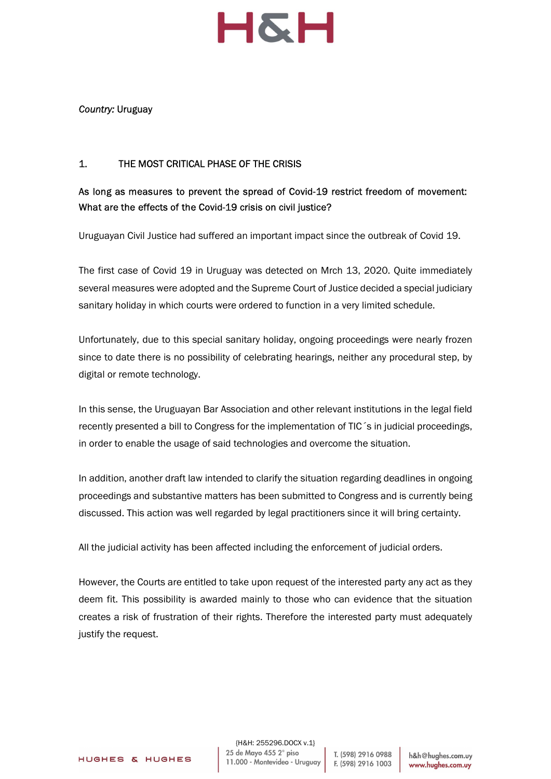

#### Country: Uruguay

### 1. THE MOST CRITICAL PHASE OF THE CRISIS

## As long as measures to prevent the spread of Covid-19 restrict freedom of movement: What are the effects of the Covid-19 crisis on civil justice?

Uruguayan Civil Justice had suffered an important impact since the outbreak of Covid 19.

The first case of Covid 19 in Uruguay was detected on Mrch 13, 2020. Quite immediately several measures were adopted and the Supreme Court of Justice decided a special judiciary sanitary holiday in which courts were ordered to function in a very limited schedule.

Unfortunately, due to this special sanitary holiday, ongoing proceedings were nearly frozen since to date there is no possibility of celebrating hearings, neither any procedural step, by digital or remote technology.

In this sense, the Uruguayan Bar Association and other relevant institutions in the legal field recently presented a bill to Congress for the implementation of TIC´s in judicial proceedings, in order to enable the usage of said technologies and overcome the situation.

In addition, another draft law intended to clarify the situation regarding deadlines in ongoing proceedings and substantive matters has been submitted to Congress and is currently being discussed. This action was well regarded by legal practitioners since it will bring certainty.

All the judicial activity has been affected including the enforcement of judicial orders.

However, the Courts are entitled to take upon request of the interested party any act as they deem fit. This possibility is awarded mainly to those who can evidence that the situation creates a risk of frustration of their rights. Therefore the interested party must adequately justify the request.